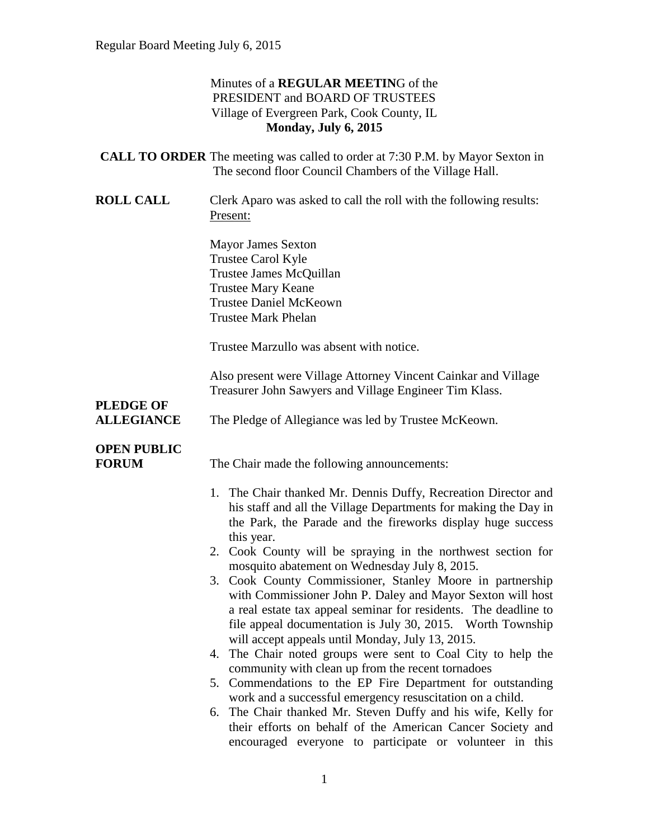### Minutes of a **REGULAR MEETIN**G of the PRESIDENT and BOARD OF TRUSTEES Village of Evergreen Park, Cook County, IL **Monday, July 6, 2015**

|                                    | <b>CALL TO ORDER</b> The meeting was called to order at 7:30 P.M. by Mayor Sexton in<br>The second floor Council Chambers of the Village Hall.                                                                                                                                                                                                                                                                                                                                                                                                                                                                                                                                                                                                                                                                                                                                                                                                                                                                                                                                            |
|------------------------------------|-------------------------------------------------------------------------------------------------------------------------------------------------------------------------------------------------------------------------------------------------------------------------------------------------------------------------------------------------------------------------------------------------------------------------------------------------------------------------------------------------------------------------------------------------------------------------------------------------------------------------------------------------------------------------------------------------------------------------------------------------------------------------------------------------------------------------------------------------------------------------------------------------------------------------------------------------------------------------------------------------------------------------------------------------------------------------------------------|
| <b>ROLL CALL</b>                   | Clerk Aparo was asked to call the roll with the following results:<br>Present:                                                                                                                                                                                                                                                                                                                                                                                                                                                                                                                                                                                                                                                                                                                                                                                                                                                                                                                                                                                                            |
|                                    | <b>Mayor James Sexton</b><br>Trustee Carol Kyle<br>Trustee James McQuillan<br><b>Trustee Mary Keane</b><br><b>Trustee Daniel McKeown</b><br><b>Trustee Mark Phelan</b>                                                                                                                                                                                                                                                                                                                                                                                                                                                                                                                                                                                                                                                                                                                                                                                                                                                                                                                    |
|                                    | Trustee Marzullo was absent with notice.                                                                                                                                                                                                                                                                                                                                                                                                                                                                                                                                                                                                                                                                                                                                                                                                                                                                                                                                                                                                                                                  |
| <b>PLEDGE OF</b>                   | Also present were Village Attorney Vincent Cainkar and Village<br>Treasurer John Sawyers and Village Engineer Tim Klass.                                                                                                                                                                                                                                                                                                                                                                                                                                                                                                                                                                                                                                                                                                                                                                                                                                                                                                                                                                  |
| <b>ALLEGIANCE</b>                  | The Pledge of Allegiance was led by Trustee McKeown.                                                                                                                                                                                                                                                                                                                                                                                                                                                                                                                                                                                                                                                                                                                                                                                                                                                                                                                                                                                                                                      |
| <b>OPEN PUBLIC</b><br><b>FORUM</b> | The Chair made the following announcements:                                                                                                                                                                                                                                                                                                                                                                                                                                                                                                                                                                                                                                                                                                                                                                                                                                                                                                                                                                                                                                               |
|                                    | 1. The Chair thanked Mr. Dennis Duffy, Recreation Director and<br>his staff and all the Village Departments for making the Day in<br>the Park, the Parade and the fireworks display huge success<br>this year.<br>2. Cook County will be spraying in the northwest section for<br>mosquito abatement on Wednesday July 8, 2015.<br>3. Cook County Commissioner, Stanley Moore in partnership<br>with Commissioner John P. Daley and Mayor Sexton will host<br>a real estate tax appeal seminar for residents. The deadline to<br>file appeal documentation is July 30, 2015. Worth Township<br>will accept appeals until Monday, July 13, 2015.<br>4. The Chair noted groups were sent to Coal City to help the<br>community with clean up from the recent tornadoes<br>5. Commendations to the EP Fire Department for outstanding<br>work and a successful emergency resuscitation on a child.<br>6. The Chair thanked Mr. Steven Duffy and his wife, Kelly for<br>their efforts on behalf of the American Cancer Society and<br>encouraged everyone to participate or volunteer in this |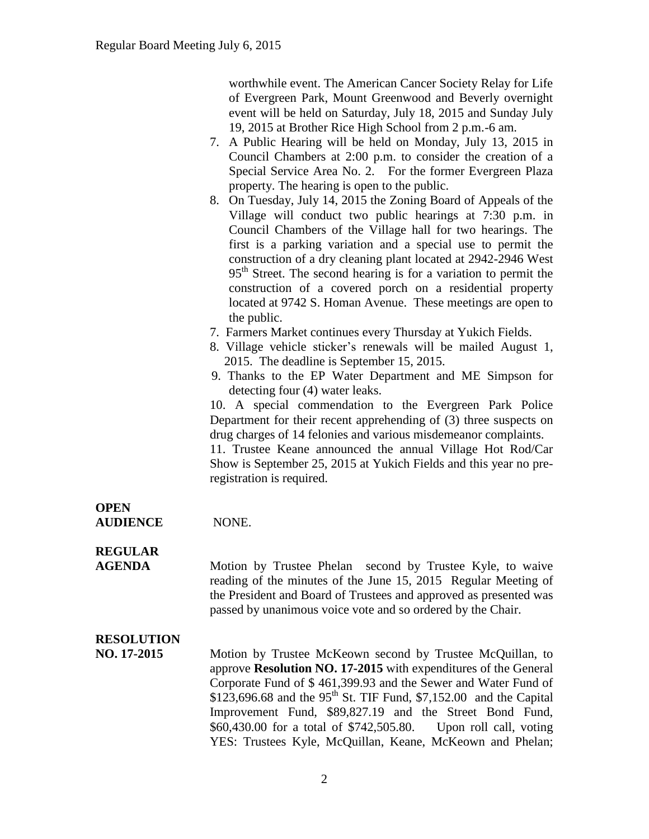worthwhile event. The American Cancer Society Relay for Life of Evergreen Park, Mount Greenwood and Beverly overnight event will be held on Saturday, July 18, 2015 and Sunday July 19, 2015 at Brother Rice High School from 2 p.m.-6 am.

- 7. A Public Hearing will be held on Monday, July 13, 2015 in Council Chambers at 2:00 p.m. to consider the creation of a Special Service Area No. 2. For the former Evergreen Plaza property. The hearing is open to the public.
- 8. On Tuesday, July 14, 2015 the Zoning Board of Appeals of the Village will conduct two public hearings at 7:30 p.m. in Council Chambers of the Village hall for two hearings. The first is a parking variation and a special use to permit the construction of a dry cleaning plant located at 2942-2946 West 95<sup>th</sup> Street. The second hearing is for a variation to permit the construction of a covered porch on a residential property located at 9742 S. Homan Avenue. These meetings are open to the public.
- 7. Farmers Market continues every Thursday at Yukich Fields.
- 8. Village vehicle sticker's renewals will be mailed August 1, 2015. The deadline is September 15, 2015.
- 9. Thanks to the EP Water Department and ME Simpson for detecting four (4) water leaks.

10. A special commendation to the Evergreen Park Police Department for their recent apprehending of (3) three suspects on drug charges of 14 felonies and various misdemeanor complaints. 11. Trustee Keane announced the annual Village Hot Rod/Car Show is September 25, 2015 at Yukich Fields and this year no preregistration is required.

**OPEN AUDIENCE** NONE.

**REGULAR** 

**AGENDA** Motion by Trustee Phelan second by Trustee Kyle, to waive reading of the minutes of the June 15, 2015 Regular Meeting of the President and Board of Trustees and approved as presented was passed by unanimous voice vote and so ordered by the Chair.

# **RESOLUTION**

**NO. 17-2015** Motion by Trustee McKeown second by Trustee McQuillan, to approve **Resolution NO. 17-2015** with expenditures of the General Corporate Fund of \$ 461,399.93 and the Sewer and Water Fund of \$123,696.68 and the 95<sup>th</sup> St. TIF Fund, \$7,152.00 and the Capital Improvement Fund, \$89,827.19 and the Street Bond Fund, \$60,430.00 for a total of \$742,505.80. Upon roll call, voting YES: Trustees Kyle, McQuillan, Keane, McKeown and Phelan;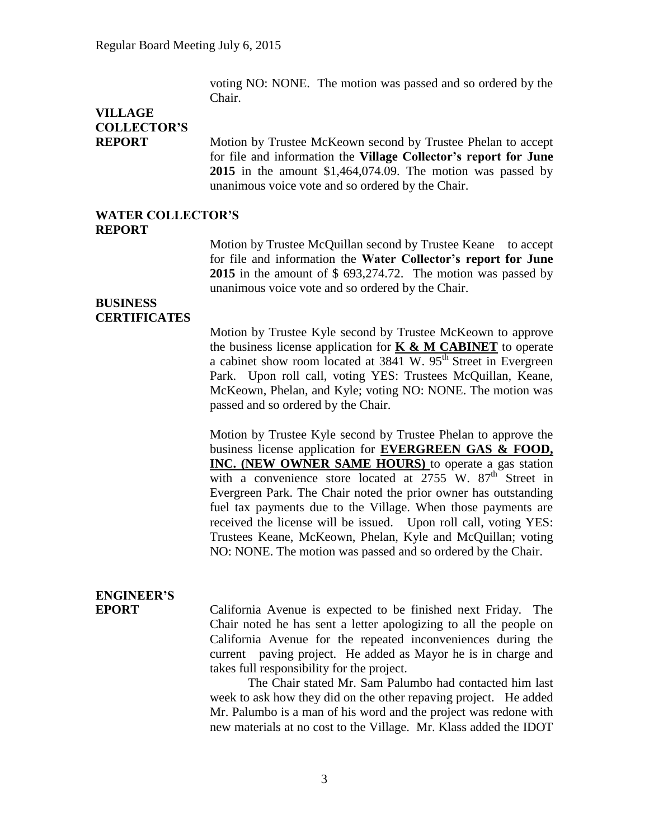voting NO: NONE. The motion was passed and so ordered by the Chair.

# **VILLAGE COLLECTOR'S**

**REPORT** Motion by Trustee McKeown second by Trustee Phelan to accept for file and information the **Village Collector's report for June 2015** in the amount \$1,464,074.09. The motion was passed by unanimous voice vote and so ordered by the Chair.

#### **WATER COLLECTOR'S REPORT**

Motion by Trustee McQuillan second by Trustee Keane to accept for file and information the **Water Collector's report for June 2015** in the amount of \$ 693,274.72. The motion was passed by unanimous voice vote and so ordered by the Chair.

#### **BUSINESS CERTIFICATES**

Motion by Trustee Kyle second by Trustee McKeown to approve the business license application for **K & M CABINET** to operate a cabinet show room located at  $3841$  W.  $95<sup>th</sup>$  Street in Evergreen Park. Upon roll call, voting YES: Trustees McQuillan, Keane, McKeown, Phelan, and Kyle; voting NO: NONE. The motion was passed and so ordered by the Chair.

Motion by Trustee Kyle second by Trustee Phelan to approve the business license application for **EVERGREEN GAS & FOOD, INC. (NEW OWNER SAME HOURS)** to operate a gas station with a convenience store located at  $2755$  W.  $87<sup>th</sup>$  Street in Evergreen Park. The Chair noted the prior owner has outstanding fuel tax payments due to the Village. When those payments are received the license will be issued. Upon roll call, voting YES: Trustees Keane, McKeown, Phelan, Kyle and McQuillan; voting NO: NONE. The motion was passed and so ordered by the Chair.

# **ENGINEER'S**

**EPORT** California Avenue is expected to be finished next Friday. The Chair noted he has sent a letter apologizing to all the people on California Avenue for the repeated inconveniences during the current paving project. He added as Mayor he is in charge and takes full responsibility for the project.

> The Chair stated Mr. Sam Palumbo had contacted him last week to ask how they did on the other repaving project. He added Mr. Palumbo is a man of his word and the project was redone with new materials at no cost to the Village. Mr. Klass added the IDOT